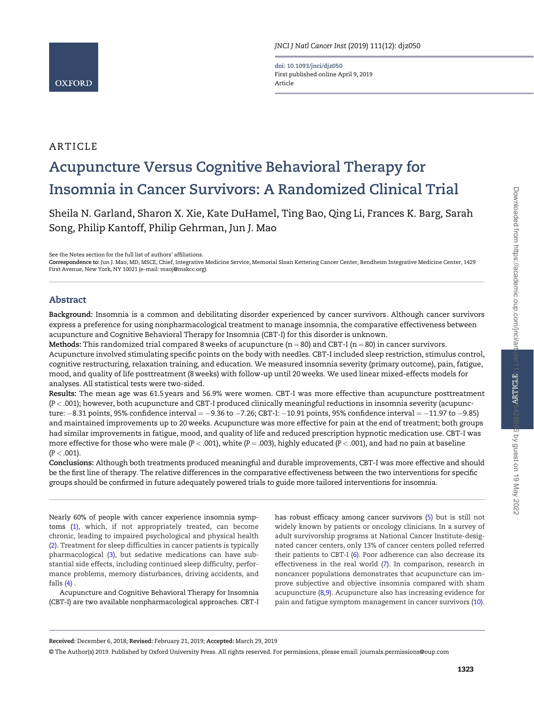doi: 10.1093/jnci/djz050 First published online April 9, 2019 Article

# ARTICLE

# Acupuncture Versus Cognitive Behavioral Therapy for Insomnia in Cancer Survivors: A Randomized Clinical Trial

Sheila N. Garland, Sharon X. Xie, Kate DuHamel, Ting Bao, Qing Li, Frances K. Barg, Sarah Song, Philip Kantoff, Philip Gehrman, Jun J. Mao

See the Notes section for the full list of authors' affiliations.

Correspondence to: Jun J. Mao, MD, MSCE, Chief, Integrative Medicine Service, Memorial Sloan Kettering Cancer Center, Bendheim Integrative Medicine Center, 1429 First Avenue, New York, NY 10021 (e-mail: [maoj@mskcc.org\).](mailto:maoj@mskcc.org)

# Abstract

Background: Insomnia is a common and debilitating disorder experienced by cancer survivors. Although cancer survivors express a preference for using nonpharmacological treatment to manage insomnia, the comparative effectiveness between acupuncture and Cognitive Behavioral Therapy for Insomnia (CBT-I) for this disorder is unknown.

Methods: This randomized trial compared 8 weeks of acupuncture ( $n = 80$ ) and CBT-I ( $n = 80$ ) in cancer survivors. Acupuncture involved stimulating specific points on the body with needles. CBT-I included sleep restriction, stimulus control, cognitive restructuring, relaxation training, and education. We measured insomnia severity (primary outcome), pain, fatigue, mood, and quality of life posttreatment (8 weeks) with follow-up until 20 weeks. We used linear mixed-effects models for analyses. All statistical tests were two-sided.

Results: The mean age was 61.5 years and 56.9% were women. CBT-I was more effective than acupuncture posttreatment (P < .001); however, both acupuncture and CBT-I produced clinically meaningful reductions in insomnia severity (acupuncture: –8.31 points, 95% confidence interval = –9.36 to –7.26; CBT-I: –10.91 points, 95% confidence interval = –11.97 to –9.85) and maintained improvements up to 20 weeks. Acupuncture was more effective for pain at the end of treatment; both groups had similar improvements in fatigue, mood, and quality of life and reduced prescription hypnotic medication use. CBT-I was more effective for those who were male ( $P < .001$ ), white ( $P = .003$ ), highly educated ( $P < .001$ ), and had no pain at baseline  $(P < .001)$ .

Conclusions: Although both treatments produced meaningful and durable improvements, CBT-I was more effective and should be the first line of therapy. The relative differences in the comparative effectiveness between the two interventions for specific groups should be confirmed in future adequately powered trials to guide more tailored interventions for insomnia.

Nearly 60% of people with cancer experience insomnia symptoms ([1](#page-7-0)), which, if not appropriately treated, can become chronic, leading to impaired psychological and physical health ([2](#page-8-0)). Treatment for sleep difficulties in cancer patients is typically pharmacological ([3](#page-8-0)), but sedative medications can have substantial side effects, including continued sleep difficulty, performance problems, memory disturbances, driving accidents, and falls  $(4)$  $(4)$ .

Acupuncture and Cognitive Behavioral Therapy for Insomnia (CBT-I) are two available nonpharmacological approaches. CBT-I has robust efficacy among cancer survivors ([5\)](#page-8-0) but is still not widely known by patients or oncology clinicians. In a survey of adult survivorship programs at National Cancer Institute-designated cancer centers, only 13% of cancer centers polled referred their patients to CBT-I ([6\)](#page-8-0). Poor adherence can also decrease its effectiveness in the real world [\(7\)](#page-8-0). In comparison, research in noncancer populations demonstrates that acupuncture can improve subjective and objective insomnia compared with sham acupuncture [\(8,9](#page-8-0)). Acupuncture also has increasing evidence for pain and fatigue symptom management in cancer survivors [\(10](#page-8-0)).

© The Author(s) 2019. Published by Oxford University Press. All rights reserved. For permissions, please email: journals.permissions@oup.com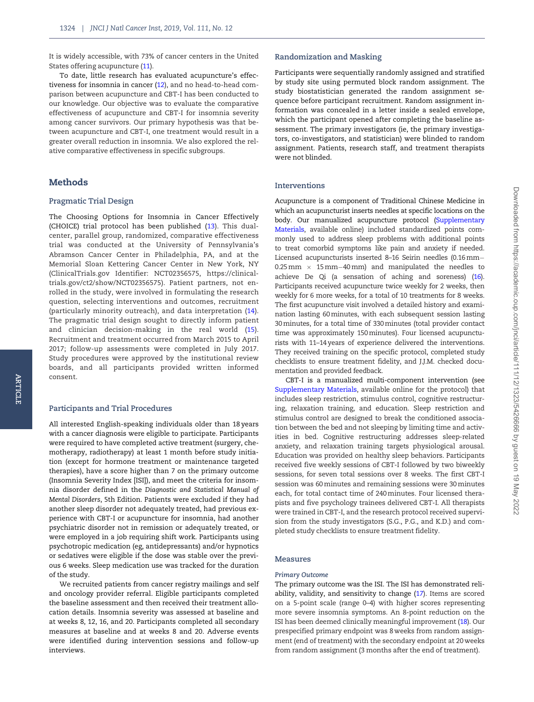It is widely accessible, with 73% of cancer centers in the United States offering acupuncture [\(11](#page-8-0)).

To date, little research has evaluated acupuncture's effectiveness for insomnia in cancer [\(12](#page-8-0)), and no head-to-head comparison between acupuncture and CBT-I has been conducted to our knowledge. Our objective was to evaluate the comparative effectiveness of acupuncture and CBT-I for insomnia severity among cancer survivors. Our primary hypothesis was that between acupuncture and CBT-I, one treatment would result in a greater overall reduction in insomnia. We also explored the relative comparative effectiveness in specific subgroups.

# Methods

#### Pragmatic Trial Design

The Choosing Options for Insomnia in Cancer Effectively (CHOICE) trial protocol has been published ([13\)](#page-8-0). This dualcenter, parallel group, randomized, comparative effectiveness trial was conducted at the University of Pennsylvania's Abramson Cancer Center in Philadelphia, PA, and at the Memorial Sloan Kettering Cancer Center in New York, NY (ClinicalTrials.gov Identifier: NCT02356575, [https://clinical](https://clinicaltrials.gov/ct2/show/NCT02356575)[trials.gov/ct2/show/NCT02356575\)](https://clinicaltrials.gov/ct2/show/NCT02356575). Patient partners, not enrolled in the study, were involved in formulating the research question, selecting interventions and outcomes, recruitment (particularly minority outreach), and data interpretation ([14](#page-8-0)). The pragmatic trial design sought to directly inform patient and clinician decision-making in the real world ([15](#page-8-0)). Recruitment and treatment occurred from March 2015 to April 2017; follow-up assessments were completed in July 2017. Study procedures were approved by the institutional review boards, and all participants provided written informed consent.

#### Participants and Trial Procedures

All interested English-speaking individuals older than 18 years with a cancer diagnosis were eligible to participate. Participants were required to have completed active treatment (surgery, chemotherapy, radiotherapy) at least 1 month before study initiation (except for hormone treatment or maintenance targeted therapies), have a score higher than 7 on the primary outcome (Insomnia Severity Index [ISI]), and meet the criteria for insomnia disorder defined in the Diagnostic and Statistical Manual of Mental Disorders, 5th Edition. Patients were excluded if they had another sleep disorder not adequately treated, had previous experience with CBT-I or acupuncture for insomnia, had another psychiatric disorder not in remission or adequately treated, or were employed in a job requiring shift work. Participants using psychotropic medication (eg, antidepressants) and/or hypnotics or sedatives were eligible if the dose was stable over the previous 6 weeks. Sleep medication use was tracked for the duration of the study.

We recruited patients from cancer registry mailings and self and oncology provider referral. Eligible participants completed the baseline assessment and then received their treatment allocation details. Insomnia severity was assessed at baseline and at weeks 8, 12, 16, and 20. Participants completed all secondary measures at baseline and at weeks 8 and 20. Adverse events were identified during intervention sessions and follow-up interviews.

#### Randomization and Masking

Participants were sequentially randomly assigned and stratified by study site using permuted block random assignment. The study biostatistician generated the random assignment sequence before participant recruitment. Random assignment information was concealed in a letter inside a sealed envelope, which the participant opened after completing the baseline assessment. The primary investigators (ie, the primary investigators, co-investigators, and statistician) were blinded to random assignment. Patients, research staff, and treatment therapists were not blinded.

### Interventions

Acupuncture is a component of Traditional Chinese Medicine in which an acupuncturist inserts needles at specific locations on the body. Our manualized acupuncture protocol [\(Supplementary](https://academic.oup.com/jnci/article-lookup/doi/10.1093/jnci/djz050#supplementary-data) [Materials](https://academic.oup.com/jnci/article-lookup/doi/10.1093/jnci/djz050#supplementary-data), available online) included standardized points commonly used to address sleep problems with additional points to treat comorbid symptoms like pain and anxiety if needed. Licensed acupuncturists inserted 8–16 Seirin needles (0.16 mm- 0.25 mm  $\, \times \,$  15 mm–40 mm) and manipulated the needles to achieve De Qi (a sensation of aching and soreness) [\(16](#page-8-0)). Participants received acupuncture twice weekly for 2 weeks, then weekly for 6 more weeks, for a total of 10 treatments for 8 weeks. The first acupuncture visit involved a detailed history and examination lasting 60 minutes, with each subsequent session lasting 30 minutes, for a total time of 330 minutes (total provider contact time was approximately 150 minutes). Four licensed acupuncturists with 11–14 years of experience delivered the interventions. They received training on the specific protocol, completed study checklists to ensure treatment fidelity, and J.J.M. checked documentation and provided feedback.

CBT-I is a manualized multi-component intervention (see [Supplementary Materials](https://academic.oup.com/jnci/article-lookup/doi/10.1093/jnci/djz050#supplementary-data), available online for the protocol) that includes sleep restriction, stimulus control, cognitive restructuring, relaxation training, and education. Sleep restriction and stimulus control are designed to break the conditioned association between the bed and not sleeping by limiting time and activities in bed. Cognitive restructuring addresses sleep-related anxiety, and relaxation training targets physiological arousal. Education was provided on healthy sleep behaviors. Participants received five weekly sessions of CBT-I followed by two biweekly sessions, for seven total sessions over 8 weeks. The first CBT-I session was 60 minutes and remaining sessions were 30 minutes each, for total contact time of 240 minutes. Four licensed therapists and five psychology trainees delivered CBT-I. All therapists were trained in CBT-I, and the research protocol received supervision from the study investigators (S.G., P.G., and K.D.) and completed study checklists to ensure treatment fidelity.

### Measures

#### Primary Outcome

The primary outcome was the ISI. The ISI has demonstrated reliability, validity, and sensitivity to change [\(17](#page-8-0)). Items are scored on a 5-point scale (range 0–4) with higher scores representing more severe insomnia symptoms. An 8-point reduction on the ISI has been deemed clinically meaningful improvement [\(18](#page-8-0)). Our prespecified primary endpoint was 8 weeks from random assignment (end of treatment) with the secondary endpoint at 20 weeks from random assignment (3 months after the end of treatment).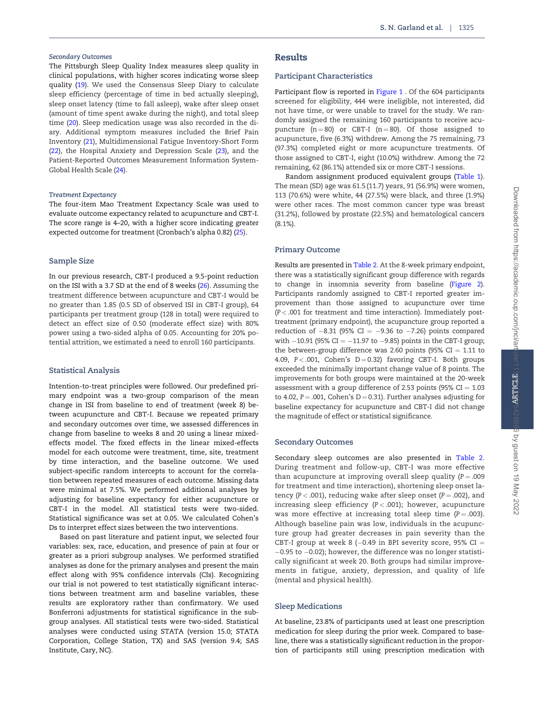#### Secondary Outcomes

The Pittsburgh Sleep Quality Index measures sleep quality in clinical populations, with higher scores indicating worse sleep quality [\(19\)](#page-8-0). We used the Consensus Sleep Diary to calculate sleep efficiency (percentage of time in bed actually sleeping), sleep onset latency (time to fall asleep), wake after sleep onset (amount of time spent awake during the night), and total sleep time ([20](#page-8-0)). Sleep medication usage was also recorded in the diary. Additional symptom measures included the Brief Pain Inventory [\(21\)](#page-8-0), Multidimensional Fatigue Inventory-Short Form ([22](#page-8-0)), the Hospital Anxiety and Depression Scale ([23\)](#page-8-0), and the Patient-Reported Outcomes Measurement Information System-Global Health Scale [\(24\)](#page-8-0).

#### Treatment Expectancy

The four-item Mao Treatment Expectancy Scale was used to evaluate outcome expectancy related to acupuncture and CBT-I. The score range is 4–20, with a higher score indicating greater expected outcome for treatment (Cronbach's alpha 0.82) [\(25](#page-8-0)).

## Sample Size

In our previous research, CBT-I produced a 9.5-point reduction on the ISI with a 3.7 SD at the end of 8 weeks ([26](#page-8-0)). Assuming the treatment difference between acupuncture and CBT-I would be no greater than 1.85 (0.5 SD of observed ISI in CBT-I group), 64 participants per treatment group (128 in total) were required to detect an effect size of 0.50 (moderate effect size) with 80% power using a two-sided alpha of 0.05. Accounting for 20% potential attrition, we estimated a need to enroll 160 participants.

# Statistical Analysis

Intention-to-treat principles were followed. Our predefined primary endpoint was a two-group comparison of the mean change in ISI from baseline to end of treatment (week 8) between acupuncture and CBT-I. Because we repeated primary and secondary outcomes over time, we assessed differences in change from baseline to weeks 8 and 20 using a linear mixedeffects model. The fixed effects in the linear mixed-effects model for each outcome were treatment, time, site, treatment by time interaction, and the baseline outcome. We used subject-specific random intercepts to account for the correlation between repeated measures of each outcome. Missing data were minimal at 7.5%. We performed additional analyses by adjusting for baseline expectancy for either acupuncture or CBT-I in the model. All statistical tests were two-sided. Statistical significance was set at 0.05. We calculated Cohen's Ds to interpret effect sizes between the two interventions.

Based on past literature and patient input, we selected four variables: sex, race, education, and presence of pain at four or greater as a priori subgroup analyses. We performed stratified analyses as done for the primary analyses and present the main effect along with 95% confidence intervals (CIs). Recognizing our trial is not powered to test statistically significant interactions between treatment arm and baseline variables, these results are exploratory rather than confirmatory. We used Bonferroni adjustments for statistical significance in the subgroup analyses. All statistical tests were two-sided. Statistical analyses were conducted using STATA (version 15.0; STATA Corporation, College Station, TX) and SAS (version 9.4; SAS Institute, Cary, NC).

## Results

### Participant Characteristics

Participant flow is reported in [Figure 1](#page-3-0) . Of the 604 participants screened for eligibility, 444 were ineligible, not interested, did not have time, or were unable to travel for the study. We randomly assigned the remaining 160 participants to receive acupuncture  $(n = 80)$  or CBT-I  $(n = 80)$ . Of those assigned to acupuncture, five (6.3%) withdrew. Among the 75 remaining, 73 (97.3%) completed eight or more acupuncture treatments. Of those assigned to CBT-I, eight (10.0%) withdrew. Among the 72 remaining, 62 (86.1%) attended six or more CBT-I sessions.

Random assignment produced equivalent groups ([Table 1](#page-4-0)). The mean (SD) age was 61.5 (11.7) years, 91 (56.9%) were women, 113 (70.6%) were white, 44 (27.5%) were black, and three (1.9%) were other races. The most common cancer type was breast (31.2%), followed by prostate (22.5%) and hematological cancers (8.1%).

#### Primary Outcome

Results are presented in [Table 2](#page-5-0). At the 8-week primary endpoint, there was a statistically significant group difference with regards to change in insomnia severity from baseline ([Figure 2](#page-6-0)). Participants randomly assigned to CBT-I reported greater improvement than those assigned to acupuncture over time (P< .001 for treatment and time interaction). Immediately posttreatment (primary endpoint), the acupuncture group reported a reduction of  $-8.31$  (95% CI  $=$   $-9.36$  to  $-7.26$ ) points compared with  $-10.91$  (95% CI  $=-11.97$  to  $-9.85$ ) points in the CBT-I group; the between-group difference was 2.60 points (95%  $CI = 1.11$  to 4.09,  $P < .001$ , Cohen's  $D = 0.32$ ) favoring CBT-I. Both groups exceeded the minimally important change value of 8 points. The improvements for both groups were maintained at the 20-week assessment with a group difference of 2.53 points (95%  $CI = 1.03$ ) to 4.02,  $P = .001$ , Cohen's  $D = 0.31$ ). Further analyses adjusting for baseline expectancy for acupuncture and CBT-I did not change the magnitude of effect or statistical significance.

#### Secondary Outcomes

Secondary sleep outcomes are also presented in [Table 2.](#page-5-0) During treatment and follow-up, CBT-I was more effective than acupuncture at improving overall sleep quality ( $P = .009$ ) for treatment and time interaction), shortening sleep onset latency ( $P < .001$ ), reducing wake after sleep onset ( $P = .002$ ), and increasing sleep efficiency  $(P < .001)$ ; however, acupuncture was more effective at increasing total sleep time  $(P = .003)$ . Although baseline pain was low, individuals in the acupuncture group had greater decreases in pain severity than the CBT-I group at week 8 (–0.49 in BPI severity score, 95% CI  $=$ -0.95 to -0.02); however, the difference was no longer statistically significant at week 20. Both groups had similar improvements in fatigue, anxiety, depression, and quality of life (mental and physical health).

# Sleep Medications

At baseline, 23.8% of participants used at least one prescription medication for sleep during the prior week. Compared to baseline, there was a statistically significant reduction in the proportion of participants still using prescription medication with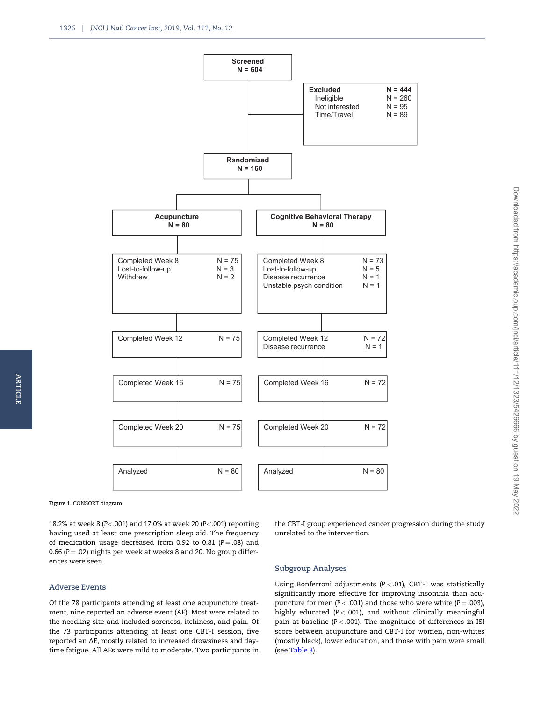<span id="page-3-0"></span>

Figure 1. CONSORT diagram.

18.2% at week 8 (P<.001) and 17.0% at week 20 (P<.001) reporting having used at least one prescription sleep aid. The frequency of medication usage decreased from 0.92 to 0.81 ( $P = .08$ ) and 0.66 ( $P = .02$ ) nights per week at weeks 8 and 20. No group differences were seen.

the CBT-I group experienced cancer progression during the study unrelated to the intervention.

#### Adverse Events

Of the 78 participants attending at least one acupuncture treatment, nine reported an adverse event (AE). Most were related to the needling site and included soreness, itchiness, and pain. Of the 73 participants attending at least one CBT-I session, five reported an AE, mostly related to increased drowsiness and daytime fatigue. All AEs were mild to moderate. Two participants in

# Subgroup Analyses

Using Bonferroni adjustments  $(P < .01)$ , CBT-I was statistically significantly more effective for improving insomnia than acupuncture for men ( $P < .001$ ) and those who were white ( $P = .003$ ), highly educated  $(P < .001)$ , and without clinically meaningful pain at baseline ( $P < .001$ ). The magnitude of differences in ISI score between acupuncture and CBT-I for women, non-whites (mostly black), lower education, and those with pain were small (see [Table 3](#page-6-0)).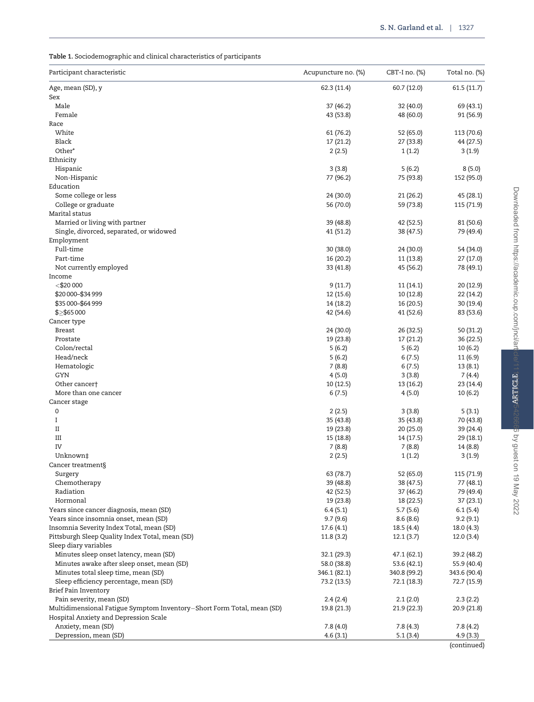# <span id="page-4-0"></span>Table 1. Sociodemographic and clinical characteristics of participants

| Participant characteristic                                                                                      | Acupuncture no. (%) | CBT-I no. (%)    | Total no. (%)        |
|-----------------------------------------------------------------------------------------------------------------|---------------------|------------------|----------------------|
| Age, mean (SD), y<br>Sex                                                                                        | 62.3 (11.4)         | 60.7 (12.0)      | 61.5(11.7)           |
| Male                                                                                                            | 37 (46.2)           | 32 (40.0)        | 69 (43.1)            |
| Female                                                                                                          | 43 (53.8)           | 48 (60.0)        | 91 (56.9)            |
| Race                                                                                                            |                     |                  |                      |
| White                                                                                                           | 61 (76.2)           | 52 (65.0)        | 113 (70.6)           |
| Black                                                                                                           | 17 (21.2)           | 27 (33.8)        | 44 (27.5)            |
| Other*                                                                                                          | 2(2.5)              | 1(1.2)           | 3(1.9)               |
| Ethnicity                                                                                                       |                     |                  |                      |
| Hispanic                                                                                                        | 3(3.8)              | 5(6.2)           | 8(5.0)               |
| Non-Hispanic                                                                                                    | 77 (96.2)           | 75 (93.8)        | 152 (95.0)           |
| Education                                                                                                       |                     |                  |                      |
| Some college or less                                                                                            | 24 (30.0)           | 21 (26.2)        | 45 (28.1)            |
| College or graduate                                                                                             | 56 (70.0)           | 59 (73.8)        | 115 (71.9)           |
| Marital status                                                                                                  |                     |                  |                      |
| Married or living with partner                                                                                  | 39 (48.8)           | 42 (52.5)        | 81 (50.6)            |
| Single, divorced, separated, or widowed                                                                         | 41 (51.2)           | 38 (47.5)        | 79 (49.4)            |
| Employment                                                                                                      |                     |                  |                      |
| Full-time                                                                                                       | 30 (38.0)           | 24 (30.0)        | 54 (34.0)            |
| Part-time                                                                                                       | 16 (20.2)           | 11 (13.8)        | 27 (17.0)            |
| Not currently employed                                                                                          | 33 (41.8)           | 45 (56.2)        | 78 (49.1)            |
| Income                                                                                                          |                     |                  |                      |
| $<$ \$20 000                                                                                                    | 9(11.7)             | 11(14.1)         | 20 (12.9)            |
| \$20 000–\$34 999                                                                                               | 12 (15.6)           | 10 (12.8)        | 22 (14.2)            |
| \$35 000-\$64 999                                                                                               | 14 (18.2)           | 16 (20.5)        | 30 (19.4)            |
| \$≥\$65 000                                                                                                     | 42 (54.6)           | 41 (52.6)        | 83 (53.6)            |
| Cancer type                                                                                                     |                     |                  |                      |
| <b>Breast</b>                                                                                                   | 24 (30.0)           | 26 (32.5)        | 50 (31.2)            |
| Prostate                                                                                                        | 19 (23.8)           | 17 (21.2)        | 36 (22.5)            |
| Colon/rectal<br>Head/neck                                                                                       | 5(6.2)              | 5(6.2)           | 10(6.2)              |
| Hematologic                                                                                                     | 5(6.2)<br>7(8.8)    | 6(7.5)<br>6(7.5) | 11 (6.9)<br>13 (8.1) |
| GYN                                                                                                             | 4(5.0)              | 3(3.8)           | 7(4.4)               |
| Other cancer†                                                                                                   | 10 (12.5)           | 13 (16.2)        | 23 (14.4)            |
| More than one cancer                                                                                            | 6(7.5)              | 4(5.0)           | 10(6.2)              |
| Cancer stage                                                                                                    |                     |                  |                      |
| $\mathbf 0$                                                                                                     | 2(2.5)              | 3(3.8)           | 5(3.1)               |
| $\mathbf I$                                                                                                     | 35 (43.8)           | 35 (43.8)        | 70 (43.8)            |
| $_{\rm II}$                                                                                                     | 19 (23.8)           | 20 (25.0)        | 39 (24.4)            |
| III                                                                                                             | 15 (18.8)           | 14 (17.5)        | 29 (18.1)            |
| IV                                                                                                              | 7(8.8)              | 7(8.8)           | 14 (8.8)             |
| Unknown‡                                                                                                        | 2(2.5)              | 1(1.2)           | 3(1.9)               |
| Cancer treatment§                                                                                               |                     |                  |                      |
| Surgery                                                                                                         | 63 (78.7)           | 52 (65.0)        | 115 (71.9)           |
| Chemotherapy                                                                                                    | 39 (48.8)           | 38 (47.5)        | 77 (48.1)            |
| Radiation                                                                                                       | 42 (52.5)           | 37 (46.2)        | 79 (49.4)            |
| Hormonal                                                                                                        | 19 (23.8)           | 18 (22.5)        | 37(23.1)             |
| Years since cancer diagnosis, mean (SD)                                                                         | 6.4(5.1)            | 5.7(5.6)         | 6.1(5.4)             |
| Years since insomnia onset, mean (SD)                                                                           | 9.7(9.6)            | 8.6(8.6)         | 9.2(9.1)             |
| Insomnia Severity Index Total, mean (SD)                                                                        | 17.6 (4.1)          | 18.5 (4.4)       | 18.0 (4.3)           |
| Pittsburgh Sleep Quality Index Total, mean (SD)<br>Sleep diary variables                                        | 11.8(3.2)           | 12.1(3.7)        | 12.0(3.4)            |
| Minutes sleep onset latency, mean (SD)                                                                          | 32.1 (29.3)         | 47.1 (62.1)      | 39.2 (48.2)          |
| Minutes awake after sleep onset, mean (SD)                                                                      | 58.0 (38.8)         | 53.6 (42.1)      | 55.9 (40.4)          |
| Minutes total sleep time, mean (SD)                                                                             | 346.1 (82.1)        | 340.8 (99.2)     | 343.6 (90.4)         |
| Sleep efficiency percentage, mean (SD)                                                                          | 73.2 (13.5)         | 72.1 (18.3)      | 72.7 (15.9)          |
| Brief Pain Inventory                                                                                            |                     |                  |                      |
| Pain severity, mean (SD)                                                                                        | 2.4(2.4)            | 2.1(2.0)         | 2.3(2.2)             |
| Multidimensional Fatigue Symptom Inventory-Short Form Total, mean (SD)<br>Hospital Anxiety and Depression Scale | 19.8 (21.3)         | 21.9 (22.3)      | 20.9 (21.8)          |
| Anxiety, mean (SD)                                                                                              | 7.8(4.0)            | 7.8(4.3)         | 7.8 (4.2)            |
| Depression, mean (SD)                                                                                           | 4.6(3.1)            | 5.1(3.4)         | 4.9(3.3)             |

(continued)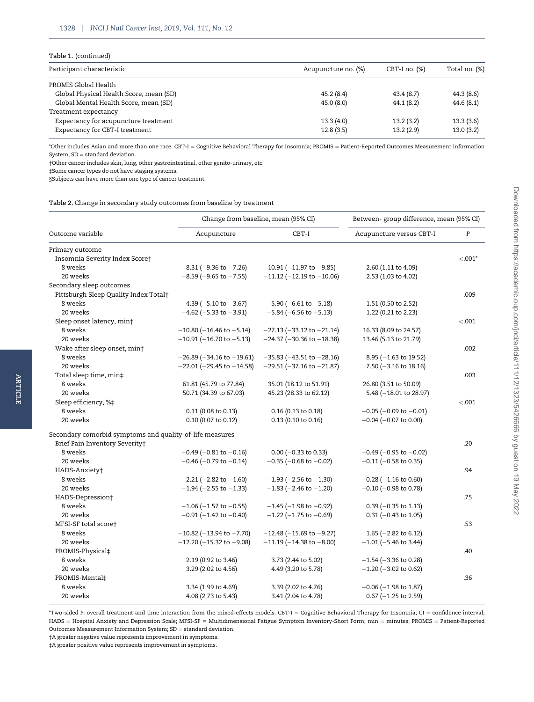#### <span id="page-5-0"></span>Table 1. (continued)

ARTICLE

**ARTICLE** 

| Participant characteristic              | Acupuncture no. (%) | $CBT-I$ no. $(\%)$ | Total no. (%) |
|-----------------------------------------|---------------------|--------------------|---------------|
| PROMIS Global Health                    |                     |                    |               |
| Global Physical Health Score, mean (SD) | 45.2(8.4)           | 43.4(8.7)          | 44.3 (8.6)    |
| Global Mental Health Score, mean (SD)   | 45.0(8.0)           | 44.1 (8.2)         | 44.6(8.1)     |
| Treatment expectancy                    |                     |                    |               |
| Expectancy for acupuncture treatment    | 13.3(4.0)           | 13.2(3.2)          | 13.3(3.6)     |
| Expectancy for CBT-I treatment          | 12.8(3.5)           | 13.2(2.9)          | 13.0(3.2)     |
|                                         |                     |                    |               |

\*Other includes Asian and more than one race. CBT-I = Cognitive Behavioral Therapy for Insomnia; PROMIS = Patient-Reported Outcomes Measurement Information System;  $SD = standard deviation$ .

†Other cancer includes skin, lung, other gastrointestinal, other genito-urinary, etc.

‡Some cancer types do not have staging systems.

§Subjects can have more than one type of cancer treatment.

Table 2. Change in secondary study outcomes from baseline by treatment

|                                                          | Change from baseline, mean (95% CI) |                                   | Between- group difference, mean (95% CI) |           |
|----------------------------------------------------------|-------------------------------------|-----------------------------------|------------------------------------------|-----------|
| Outcome variable                                         | Acupuncture                         | CBT-I                             | Acupuncture versus CBT-I                 | P         |
| Primary outcome                                          |                                     |                                   |                                          |           |
| Insomnia Severity Index Score†                           |                                     |                                   |                                          | $< .001*$ |
| 8 weeks                                                  | $-8.31$ ( $-9.36$ to $-7.26$ )      | $-10.91$ ( $-11.97$ to $-9.85$ )  | 2.60 (1.11 to 4.09)                      |           |
| 20 weeks                                                 | $-8.59$ ( $-9.65$ to $-7.55$ )      | $-11.12$ ( $-12.19$ to $-10.06$ ) | 2.53 (1.03 to 4.02)                      |           |
| Secondary sleep outcomes                                 |                                     |                                   |                                          |           |
| Pittsburgh Sleep Quality Index Total†                    |                                     |                                   |                                          | .009      |
| 8 weeks                                                  | $-4.39$ ( $-5.10$ to $-3.67$ )      | $-5.90$ ( $-6.61$ to $-5.18$ )    | 1.51 (0.50 to 2.52)                      |           |
| 20 weeks                                                 | $-4.62$ (-5.33 to -3.91)            | $-5.84$ (-6.56 to -5.13)          | 1.22 (0.21 to 2.23)                      |           |
| Sleep onset latency, min†                                |                                     |                                   |                                          | < .001    |
| 8 weeks                                                  | $-10.80$ (-16.46 to -5.14)          | $-27.13$ ( $-33.12$ to $-21.14$ ) | 16.33 (8.09 to 24.57)                    |           |
| 20 weeks                                                 | $-10.91$ (-16.70 to -5.13)          | $-24.37$ ( $-30.36$ to $-18.38$ ) | 13.46 (5.13 to 21.79)                    |           |
| Wake after sleep onset, min†                             |                                     |                                   |                                          | .002      |
| 8 weeks                                                  | $-26.89$ ( $-34.16$ to $-19.61$ )   | $-35.83$ ( $-43.51$ to $-28.16$ ) | 8.95 $(-1.63 \text{ to } 19.52)$         |           |
| 20 weeks                                                 | $-22.01$ ( $-29.45$ to $-14.58$ )   | $-29.51$ ( $-37.16$ to $-21.87$ ) | 7.50 ( $-3.16$ to 18.16)                 |           |
| Total sleep time, min‡                                   |                                     |                                   |                                          | .003      |
| 8 weeks                                                  | 61.81 (45.79 to 77.84)              | 35.01 (18.12 to 51.91)            | 26.80 (3.51 to 50.09)                    |           |
| 20 weeks                                                 | 50.71 (34.39 to 67.03)              | 45.23 (28.33 to 62.12)            | 5.48 (-18.01 to 28.97)                   |           |
| Sleep efficiency, %‡                                     |                                     |                                   |                                          | < .001    |
| 8 weeks                                                  | 0.11 (0.08 to 0.13)                 | 0.16 (0.13 to 0.18)               | $-0.05$ ( $-0.09$ to $-0.01$ )           |           |
| 20 weeks                                                 | 0.10 (0.07 to 0.12)                 | 0.13 (0.10 to 0.16)               | $-0.04$ ( $-0.07$ to 0.00)               |           |
| Secondary comorbid symptoms and quality-of-life measures |                                     |                                   |                                          |           |
| Brief Pain Inventory Severity+                           |                                     |                                   |                                          | .20       |
| 8 weeks                                                  | $-0.49$ ( $-0.81$ to $-0.16$ )      | $0.00$ (-0.33 to 0.33)            | $-0.49$ (-0.95 to $-0.02$ )              |           |
| 20 weeks                                                 | $-0.46$ (-0.79 to $-0.14$ )         | $-0.35$ ( $-0.68$ to $-0.02$ )    | $-0.11$ ( $-0.58$ to 0.35)               |           |
| HADS-Anxiety+                                            |                                     |                                   |                                          | .94       |
| 8 weeks                                                  | $-2.21$ ( $-2.82$ to $-1.60$ )      | $-1.93$ ( $-2.56$ to $-1.30$ )    | $-0.28$ ( $-1.16$ to 0.60)               |           |
| 20 weeks                                                 | $-1.94$ (-2.55 to -1.33)            | $-1.83$ (-2.46 to -1.20)          | $-0.10$ ( $-0.98$ to 0.78)               |           |
| HADS-Depression†                                         |                                     |                                   |                                          | .75       |
| 8 weeks                                                  | $-1.06$ ( $-1.57$ to $-0.55$ )      | $-1.45$ ( $-1.98$ to $-0.92$ )    | $0.39$ (-0.35 to 1.13)                   |           |
| 20 weeks                                                 | $-0.91$ (-1.42 to $-0.40$ )         | $-1.22$ ( $-1.75$ to $-0.69$ )    | $0.31$ (-0.43 to 1.05)                   |           |
| MFSI-SF total score†                                     |                                     |                                   |                                          | .53       |
| 8 weeks                                                  | $-10.82$ ( $-13.94$ to $-7.70$ )    | $-12.48$ ( $-15.69$ to $-9.27$ )  | 1.65 ( $-2.82$ to 6.12)                  |           |
| 20 weeks                                                 | $-12.20$ (-15.32 to -9.08)          | $-11.19$ ( $-14.38$ to $-8.00$ )  | $-1.01$ ( $-5.46$ to 3.44)               |           |
|                                                          |                                     |                                   |                                          | .40       |
| PROMIS-Physical‡                                         |                                     |                                   |                                          |           |
| 8 weeks                                                  | 2.19 (0.92 to 3.46)                 | 3.73 (2.44 to 5.02)               | $-1.54$ ( $-3.36$ to 0.28)               |           |
| 20 weeks                                                 | 3.29 (2.02 to 4.56)                 | 4.49 (3.20 to 5.78)               | $-1.20$ ( $-3.02$ to 0.62)               |           |
| PROMIS-Mental‡                                           |                                     |                                   |                                          | .36       |
| 8 weeks                                                  | 3.34 (1.99 to 4.69)                 | 3.39 (2.02 to 4.76)               | $-0.06$ ( $-1.98$ to 1.87)               |           |
| 20 weeks                                                 | 4.08 (2.73 to 5.43)                 | 3.41 (2.04 to 4.78)               | $0.67$ (-1.25 to 2.59)                   |           |

\*Two-sided P: overall treatment and time interaction from the mixed-effects models. CBT-I = Cognitive Behavioral Therapy for Insomnia; CI = confidence interval; HADS = Hospital Anxiety and Depression Scale; MFSI-SF = Multidimensional Fatigue Symptom Inventory-Short Form; min = minutes; PROMIS = Patient-Reported Outcomes Measurement Information System;  $SD =$  standard deviation.

†A greater negative value represents improvement in symptoms.

‡A greater positive value represents improvement in symptoms.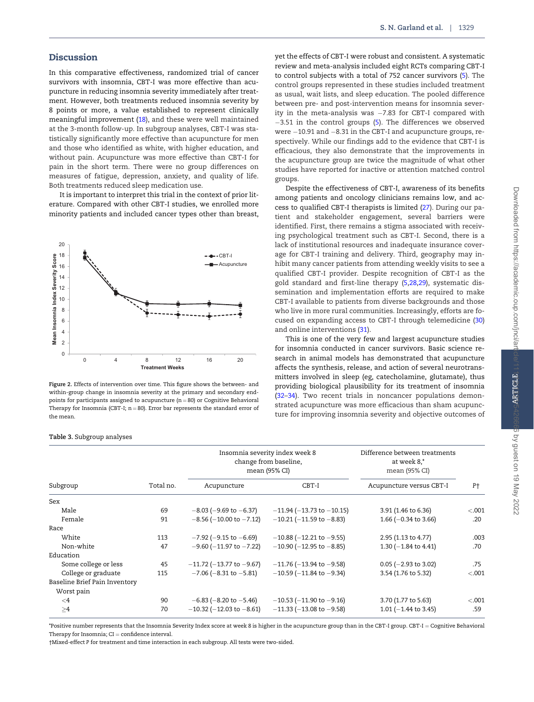## <span id="page-6-0"></span>**Discussion**

In this comparative effectiveness, randomized trial of cancer survivors with insomnia, CBT-I was more effective than acupuncture in reducing insomnia severity immediately after treatment. However, both treatments reduced insomnia severity by 8 points or more, a value established to represent clinically meaningful improvement [\(18\)](#page-8-0), and these were well maintained at the 3-month follow-up. In subgroup analyses, CBT-I was statistically significantly more effective than acupuncture for men and those who identified as white, with higher education, and without pain. Acupuncture was more effective than CBT-I for pain in the short term. There were no group differences on measures of fatigue, depression, anxiety, and quality of life. Both treatments reduced sleep medication use.

It is important to interpret this trial in the context of prior literature. Compared with other CBT-I studies, we enrolled more minority patients and included cancer types other than breast,



Figure 2. Effects of intervention over time. This figure shows the between- and within-group change in insomnia severity at the primary and secondary endpoints for participants assigned to acupuncture  $(n = 80)$  or Cognitive Behavioral Therapy for Insomnia (CBT-I;  $n = 80$ ). Error bar represents the standard error of the mean.

#### Table 3. Subgroup analyses

yet the effects of CBT-I were robust and consistent. A systematic review and meta-analysis included eight RCTs comparing CBT-I to control subjects with a total of 752 cancer survivors [\(5](#page-8-0)). The control groups represented in these studies included treatment as usual, wait lists, and sleep education. The pooled difference between pre- and post-intervention means for insomnia severity in the meta-analysis was –7.83 for CBT-I compared with  $-3.51$  in the control groups ([5\)](#page-8-0). The differences we observed were –10.91 and –8.31 in the CBT-I and acupuncture groups, respectively. While our findings add to the evidence that CBT-I is efficacious, they also demonstrate that the improvements in the acupuncture group are twice the magnitude of what other studies have reported for inactive or attention matched control groups.

Despite the effectiveness of CBT-I, awareness of its benefits among patients and oncology clinicians remains low, and access to qualified CBT-I therapists is limited [\(27](#page-8-0)). During our patient and stakeholder engagement, several barriers were identified. First, there remains a stigma associated with receiving psychological treatment such as CBT-I. Second, there is a lack of institutional resources and inadequate insurance coverage for CBT-I training and delivery. Third, geography may inhibit many cancer patients from attending weekly visits to see a qualified CBT-I provider. Despite recognition of CBT-I as the gold standard and first-line therapy [\(5,28,29](#page-8-0)), systematic dissemination and implementation efforts are required to make CBT-I available to patients from diverse backgrounds and those who live in more rural communities. Increasingly, efforts are focused on expanding access to CBT-I through telemedicine ([30](#page-8-0)) and online interventions [\(31\)](#page-8-0).

This is one of the very few and largest acupuncture studies for insomnia conducted in cancer survivors. Basic science research in animal models has demonstrated that acupuncture affects the synthesis, release, and action of several neurotransmitters involved in sleep (eg, catecholamine, glutamate), thus providing biological plausibility for its treatment of insomnia ([32–34](#page-8-0)). Two recent trials in noncancer populations demonstrated acupuncture was more efficacious than sham acupuncture for improving insomnia severity and objective outcomes of

| Subgroup                      | Total no. | Insomnia severity index week 8<br>change from baseline,<br>mean (95% CI) |                                   | Difference between treatments<br>at week 8,*<br>mean (95% CI) |                |
|-------------------------------|-----------|--------------------------------------------------------------------------|-----------------------------------|---------------------------------------------------------------|----------------|
|                               |           | Acupuncture                                                              | CBT-I                             | Acupuncture versus CBT-I                                      | P <sup>+</sup> |
| Sex                           |           |                                                                          |                                   |                                                               |                |
| Male                          | 69        | $-8.03$ ( $-9.69$ to $-6.37$ )                                           | $-11.94$ ( $-13.73$ to $-10.15$ ) | 3.91 (1.46 to 6.36)                                           | < .001         |
| Female                        | 91        | $-8.56$ ( $-10.00$ to $-7.12$ )                                          | $-10.21$ (-11.59 to -8.83)        | 1.66 ( $-0.34$ to 3.66)                                       | .20            |
| Race                          |           |                                                                          |                                   |                                                               |                |
| White                         | 113       | $-7.92$ ( $-9.15$ to $-6.69$ )                                           | $-10.88$ ( $-12.21$ to $-9.55$ )  | 2.95 (1.13 to 4.77)                                           | .003           |
| Non-white                     | 47        | $-9.60$ ( $-11.97$ to $-7.22$ )                                          | $-10.90$ ( $-12.95$ to $-8.85$ )  | 1.30 ( $-1.84$ to 4.41)                                       | .70            |
| Education                     |           |                                                                          |                                   |                                                               |                |
| Some college or less          | 45        | $-11.72$ ( $-13.77$ to $-9.67$ )                                         | $-11.76$ ( $-13.94$ to $-9.58$ )  | $0.05$ (-2.93 to 3.02)                                        | .75            |
| College or graduate           | 115       | $-7.06$ ( $-8.31$ to $-5.81$ )                                           | $-10.59$ ( $-11.84$ to $-9.34$ )  | 3.54 (1.76 to 5.32)                                           | $-.001$        |
| Baseline Brief Pain Inventory |           |                                                                          |                                   |                                                               |                |
| Worst pain                    |           |                                                                          |                                   |                                                               |                |
| $\leq 4$                      | 90        | $-6.83$ ( $-8.20$ to $-5.46$ )                                           | $-10.53$ ( $-11.90$ to $-9.16$ )  | 3.70 (1.77 to 5.63)                                           | < 0.001        |
| $\geq$ 4                      | 70        | $-10.32$ ( $-12.03$ to $-8.61$ )                                         | $-11.33$ ( $-13.08$ to $-9.58$ )  | 1.01 ( $-1.44$ to 3.45)                                       | .59            |

\*Positive number represents that the Insomnia Severity Index score at week 8 is higher in the acupuncture group than in the CBT-I group. CBT-I = Cognitive Behavioral Therapy for Insomnia;  $CI =$  confidence interval.

†Mixed-effect P for treatment and time interaction in each subgroup. All tests were two-sided.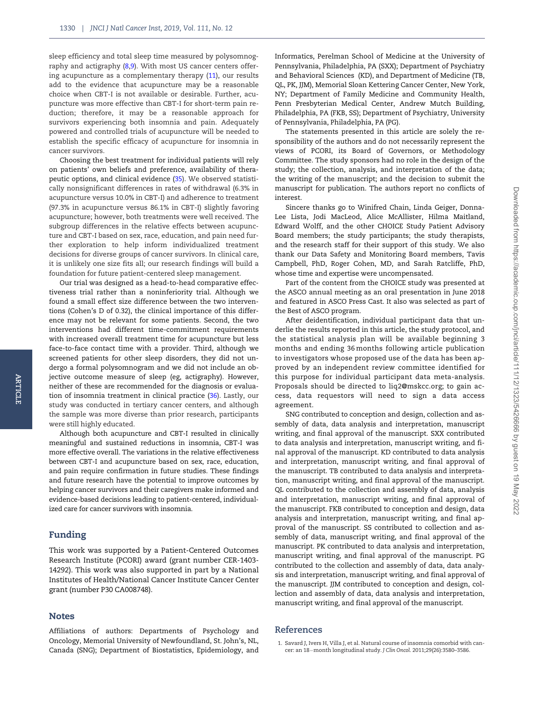<span id="page-7-0"></span>sleep efficiency and total sleep time measured by polysomnog-raphy and actigraphy [\(8,9\)](#page-8-0). With most US cancer centers offering acupuncture as a complementary therapy [\(11\)](#page-8-0), our results add to the evidence that acupuncture may be a reasonable choice when CBT-I is not available or desirable. Further, acupuncture was more effective than CBT-I for short-term pain reduction; therefore, it may be a reasonable approach for survivors experiencing both insomnia and pain. Adequately powered and controlled trials of acupuncture will be needed to establish the specific efficacy of acupuncture for insomnia in cancer survivors.

Choosing the best treatment for individual patients will rely on patients' own beliefs and preference, availability of therapeutic options, and clinical evidence ([35](#page-8-0)). We observed statistically nonsignificant differences in rates of withdrawal (6.3% in acupuncture versus 10.0% in CBT-I) and adherence to treatment (97.3% in acupuncture versus 86.1% in CBT-I) slightly favoring acupuncture; however, both treatments were well received. The subgroup differences in the relative effects between acupuncture and CBT-I based on sex, race, education, and pain need further exploration to help inform individualized treatment decisions for diverse groups of cancer survivors. In clinical care, it is unlikely one size fits all; our research findings will build a foundation for future patient-centered sleep management.

Our trial was designed as a head-to-head comparative effectiveness trial rather than a noninferiority trial. Although we found a small effect size difference between the two interventions (Cohen's D of 0.32), the clinical importance of this difference may not be relevant for some patients. Second, the two interventions had different time-commitment requirements with increased overall treatment time for acupuncture but less face-to-face contact time with a provider. Third, although we screened patients for other sleep disorders, they did not undergo a formal polysomnogram and we did not include an objective outcome measure of sleep (eg, actigraphy). However, neither of these are recommended for the diagnosis or evaluation of insomnia treatment in clinical practice ([36](#page-8-0)). Lastly, our study was conducted in tertiary cancer centers, and although the sample was more diverse than prior research, participants were still highly educated.

Although both acupuncture and CBT-I resulted in clinically meaningful and sustained reductions in insomnia, CBT-I was more effective overall. The variations in the relative effectiveness between CBT-I and acupuncture based on sex, race, education, and pain require confirmation in future studies. These findings and future research have the potential to improve outcomes by helping cancer survivors and their caregivers make informed and evidence-based decisions leading to patient-centered, individualized care for cancer survivors with insomnia.

# Funding

ARTICLE

ARTICLE

This work was supported by a Patient-Centered Outcomes Research Institute (PCORI) award (grant number CER-1403- 14292). This work was also supported in part by a National Institutes of Health/National Cancer Institute Cancer Center grant (number P30 CA008748).

# **Notes**

Affiliations of authors: Departments of Psychology and Oncology, Memorial University of Newfoundland, St. John's, NL, Canada (SNG); Department of Biostatistics, Epidemiology, and Informatics, Perelman School of Medicine at the University of Pennsylvania, Philadelphia, PA (SXX); Department of Psychiatry and Behavioral Sciences (KD), and Department of Medicine (TB, QL, PK, JJM), Memorial Sloan Kettering Cancer Center, New York, NY; Department of Family Medicine and Community Health, Penn Presbyterian Medical Center, Andrew Mutch Building, Philadelphia, PA (FKB, SS); Department of Psychiatry, University of Pennsylvania, Philadelphia, PA (PG).

The statements presented in this article are solely the responsibility of the authors and do not necessarily represent the views of PCORI, its Board of Governors, or Methodology Committee. The study sponsors had no role in the design of the study; the collection, analysis, and interpretation of the data; the writing of the manuscript; and the decision to submit the manuscript for publication. The authors report no conflicts of interest.

Sincere thanks go to Winifred Chain, Linda Geiger, Donna-Lee Lista, Jodi MacLeod, Alice McAllister, Hilma Maitland, Edward Wolff, and the other CHOICE Study Patient Advisory Board members; the study participants; the study therapists, and the research staff for their support of this study. We also thank our Data Safety and Monitoring Board members, Tavis Campbell, PhD, Roger Cohen, MD, and Sarah Ratcliffe, PhD, whose time and expertise were uncompensated.

Part of the content from the CHOICE study was presented at the ASCO annual meeting as an oral presentation in June 2018 and featured in ASCO Press Cast. It also was selected as part of the Best of ASCO program.

After deidentification, individual participant data that underlie the results reported in this article, the study protocol, and the statistical analysis plan will be available beginning 3 months and ending 36 months following article publication to investigators whose proposed use of the data has been approved by an independent review committee identified for this purpose for individual participant data meta-analysis. Proposals should be directed to [liq2@mskcc.org; to gain ac](mailto:liq2@mskcc.org)[cess, data requestors will need to sign a data access](mailto:liq2@mskcc.org) [agreement.](mailto:liq2@mskcc.org)

SNG contributed to conception and design, collection and assembly of data, data analysis and interpretation, manuscript writing, and final approval of the manuscript. SXX contributed to data analysis and interpretation, manuscript writing, and final approval of the manuscript. KD contributed to data analysis and interpretation, manuscript writing, and final approval of the manuscript. TB contributed to data analysis and interpretation, manuscript writing, and final approval of the manuscript. QL contributed to the collection and assembly of data, analysis and interpretation, manuscript writing, and final approval of the manuscript. FKB contributed to conception and design, data analysis and interpretation, manuscript writing, and final approval of the manuscript. SS contributed to collection and assembly of data, manuscript writing, and final approval of the manuscript. PK contributed to data analysis and interpretation, manuscript writing, and final approval of the manuscript. PG contributed to the collection and assembly of data, data analysis and interpretation, manuscript writing, and final approval of the manuscript. JJM contributed to conception and design, collection and assembly of data, data analysis and interpretation, manuscript writing, and final approval of the manuscript.

# References

1. Savard J, Ivers H, Villa J, et al. Natural course of insomnia comorbid with cancer: an 18-month longitudinal study. J Clin Oncol. 2011;29(26):3580–3586.